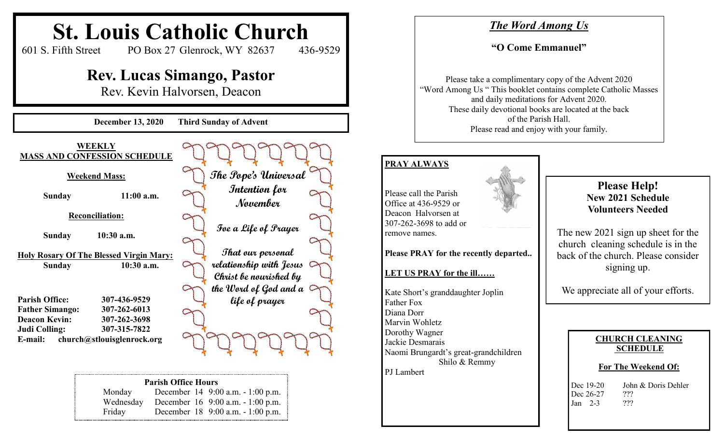

Friday December 18 9:00 a.m. - 1:00 p.m.

**Please Help! New 2021 Schedule Volunteers Needed**

The new 2021 sign up sheet for the church cleaning schedule is in the back of the church. Please consider signing up.

We appreciate all of your efforts.

#### **CHURCH CLEANING SCHEDULE**

#### **For The Weekend Of:**

| Dec 19-20 | John & Doris Dehler |
|-----------|---------------------|
| Dec 26-27 | ???                 |
| Jan $2-3$ | ???                 |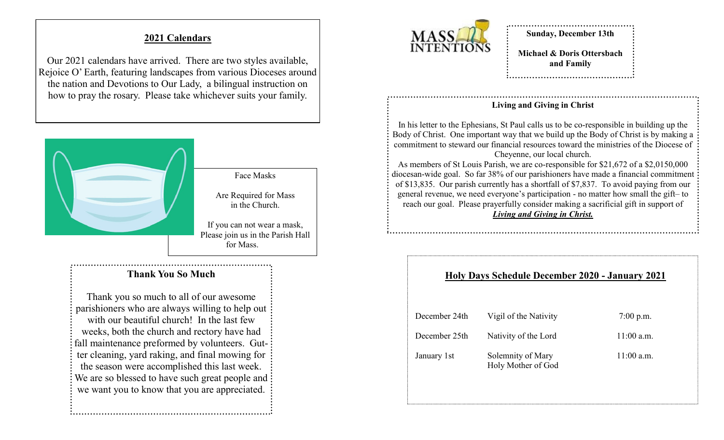# **2021 Calendars**

Our 2021 calendars have arrived. There are two styles available, Rejoice O' Earth, featuring landscapes from various Dioceses around the nation and Devotions to Our Lady, a bilingual instruction on how to pray the rosary. Please take whichever suits your family.



### **Thank You So Much**

Thank you so much to all of our awesome parishioners who are always willing to help out with our beautiful church! In the last few weeks, both the church and rectory have had fall maintenance preformed by volunteers. Gutter cleaning, yard raking, and final mowing for the season were accomplished this last week. We are so blessed to have such great people and we want you to know that you are appreciated.



**Sunday, December 13th**

**Michael & Doris Ottersbach and Family**

#### **Living and Giving in Christ**

In his letter to the Ephesians, St Paul calls us to be co-responsible in building up the Body of Christ. One important way that we build up the Body of Christ is by making a commitment to steward our financial resources toward the ministries of the Diocese of Cheyenne, our local church.

As members of St Louis Parish, we are co-responsible for \$21,672 of a \$2,0150,000 diocesan-wide goal. So far 38% of our parishioners have made a financial commitment of \$13,835. Our parish currently has a shortfall of \$7,837. To avoid paying from our general revenue, we need everyone's participation - no matter how small the gift– to reach our goal. Please prayerfully consider making a sacrificial gift in support of *Living and Giving in Christ.*

### **Holy Days Schedule December 2020 - January 2021**

| December 24th | Vigil of the Nativity                   | $7:00$ p.m.  |
|---------------|-----------------------------------------|--------------|
| December 25th | Nativity of the Lord                    | $11:00$ a.m. |
| January 1st   | Solemnity of Mary<br>Holy Mother of God | $11:00$ a.m. |